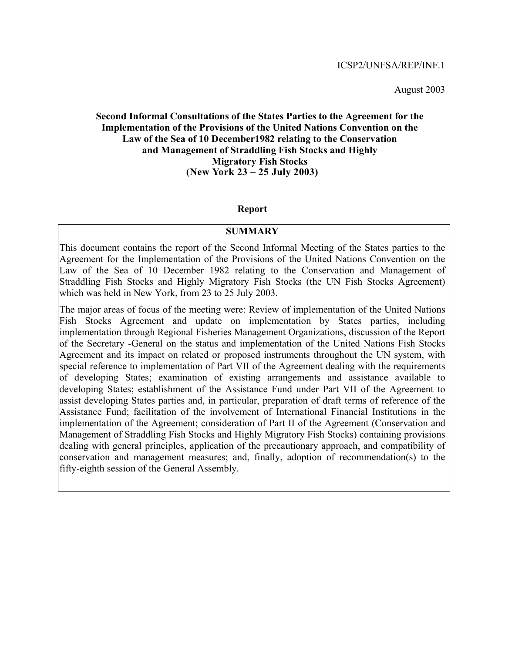### ICSP2/UNFSA/REP/INF.1

### August 2003

## **Second Informal Consultations of the States Parties to the Agreement for the Implementation of the Provisions of the United Nations Convention on the Law of the Sea of 10 December1982 relating to the Conservation and Management of Straddling Fish Stocks and Highly Migratory Fish Stocks (New York 23 – 25 July 2003)**

### **Report**

### **SUMMARY**

This document contains the report of the Second Informal Meeting of the States parties to the Agreement for the Implementation of the Provisions of the United Nations Convention on the Law of the Sea of 10 December 1982 relating to the Conservation and Management of Straddling Fish Stocks and Highly Migratory Fish Stocks (the UN Fish Stocks Agreement) which was held in New York, from 23 to 25 July 2003.

The major areas of focus of the meeting were: Review of implementation of the United Nations Fish Stocks Agreement and update on implementation by States parties, including implementation through Regional Fisheries Management Organizations, discussion of the Report of the Secretary -General on the status and implementation of the United Nations Fish Stocks Agreement and its impact on related or proposed instruments throughout the UN system, with special reference to implementation of Part VII of the Agreement dealing with the requirements of developing States; examination of existing arrangements and assistance available to developing States; establishment of the Assistance Fund under Part VII of the Agreement to assist developing States parties and, in particular, preparation of draft terms of reference of the Assistance Fund; facilitation of the involvement of International Financial Institutions in the implementation of the Agreement; consideration of Part II of the Agreement (Conservation and Management of Straddling Fish Stocks and Highly Migratory Fish Stocks) containing provisions dealing with general principles, application of the precautionary approach, and compatibility of conservation and management measures; and, finally, adoption of recommendation(s) to the fifty-eighth session of the General Assembly.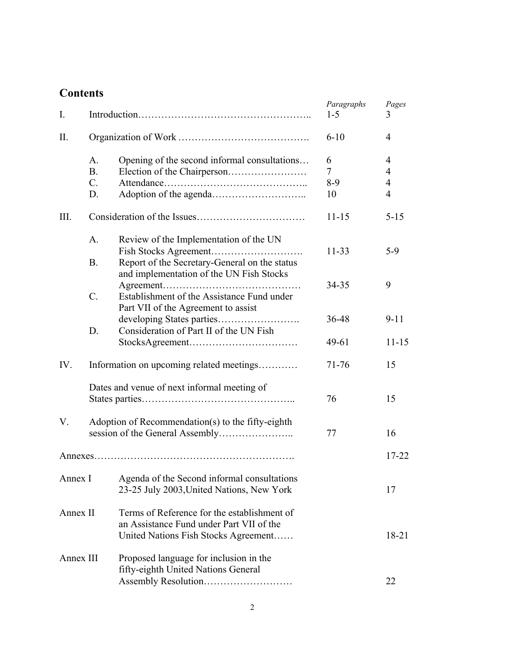# **Contents**

| $I_{\cdot}$ |                                               |                                                                                                                                     | Paragraphs<br>$1 - 5$ | Pages<br>3                                 |
|-------------|-----------------------------------------------|-------------------------------------------------------------------------------------------------------------------------------------|-----------------------|--------------------------------------------|
| II.         |                                               |                                                                                                                                     | $6 - 10$              | 4                                          |
|             | $\mathbf{A}$ .<br>B.<br>$\mathcal{C}$ .<br>D. | Opening of the second informal consultations                                                                                        | 6<br>7<br>$8-9$<br>10 | $\overline{4}$<br>$\overline{4}$<br>4<br>4 |
| III.        |                                               |                                                                                                                                     | $11 - 15$             | $5 - 15$                                   |
|             | A.<br><b>B.</b>                               | Review of the Implementation of the UN<br>Report of the Secretary-General on the status<br>and implementation of the UN Fish Stocks | $11 - 33$             | $5-9$                                      |
|             | $\mathcal{C}$ .                               | Establishment of the Assistance Fund under<br>Part VII of the Agreement to assist                                                   | 34-35                 | 9                                          |
|             | D.                                            | Consideration of Part II of the UN Fish                                                                                             | 36-48                 | $9 - 11$                                   |
|             |                                               |                                                                                                                                     | $49 - 61$             | $11 - 15$                                  |
| IV.         | Information on upcoming related meetings      |                                                                                                                                     | $71 - 76$             | 15                                         |
|             |                                               | Dates and venue of next informal meeting of                                                                                         | 76                    | 15                                         |
| V.          |                                               | Adoption of Recommendation(s) to the fifty-eighth                                                                                   | 77                    | 16                                         |
|             |                                               |                                                                                                                                     |                       | 17-22                                      |
| Annex I     |                                               | Agenda of the Second informal consultations<br>23-25 July 2003, United Nations, New York                                            |                       | 17                                         |
| Annex II    |                                               | Terms of Reference for the establishment of<br>an Assistance Fund under Part VII of the<br>United Nations Fish Stocks Agreement     |                       | 18-21                                      |
| Annex III   |                                               | Proposed language for inclusion in the<br>fifty-eighth United Nations General                                                       |                       | 22                                         |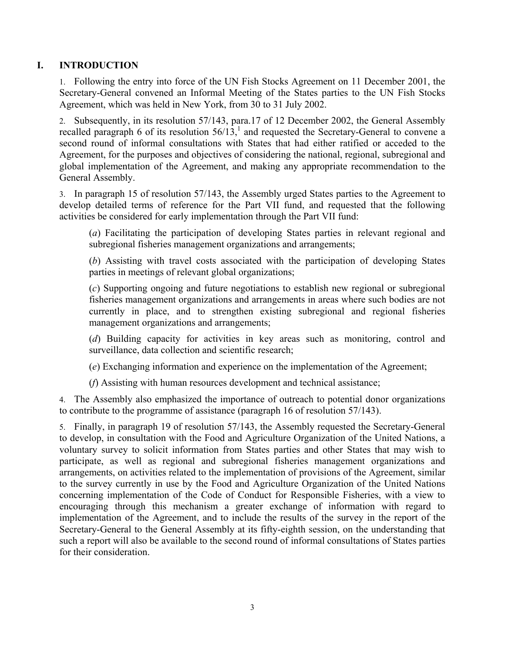## **I. INTRODUCTION**

1. Following the entry into force of the UN Fish Stocks Agreement on 11 December 2001, the Secretary-General convened an Informal Meeting of the States parties to the UN Fish Stocks Agreement, which was held in New York, from 30 to 31 July 2002.

2. Subsequently, in its resolution 57/143, para.17 of 12 December 2002, the General Assembly recalled paragraph 6 of its resolution  $56/13$  $56/13$  $56/13$ ,<sup>1</sup> and requested the Secretary-General to convene a second round of informal consultations with States that had either ratified or acceded to the Agreement, for the purposes and objectives of considering the national, regional, subregional and global implementation of the Agreement, and making any appropriate recommendation to the General Assembly.

3. In paragraph 15 of resolution 57/143, the Assembly urged States parties to the Agreement to develop detailed terms of reference for the Part VII fund, and requested that the following activities be considered for early implementation through the Part VII fund:

(*a*) Facilitating the participation of developing States parties in relevant regional and subregional fisheries management organizations and arrangements;

(*b*) Assisting with travel costs associated with the participation of developing States parties in meetings of relevant global organizations;

(*c*) Supporting ongoing and future negotiations to establish new regional or subregional fisheries management organizations and arrangements in areas where such bodies are not currently in place, and to strengthen existing subregional and regional fisheries management organizations and arrangements;

(*d*) Building capacity for activities in key areas such as monitoring, control and surveillance, data collection and scientific research;

(*e*) Exchanging information and experience on the implementation of the Agreement;

(*f*) Assisting with human resources development and technical assistance;

4. The Assembly also emphasized the importance of outreach to potential donor organizations to contribute to the programme of assistance (paragraph 16 of resolution 57/143).

5. Finally, in paragraph 19 of resolution 57/143, the Assembly requested the Secretary-General to develop, in consultation with the Food and Agriculture Organization of the United Nations, a voluntary survey to solicit information from States parties and other States that may wish to participate, as well as regional and subregional fisheries management organizations and arrangements, on activities related to the implementation of provisions of the Agreement, similar to the survey currently in use by the Food and Agriculture Organization of the United Nations concerning implementation of the Code of Conduct for Responsible Fisheries, with a view to encouraging through this mechanism a greater exchange of information with regard to implementation of the Agreement, and to include the results of the survey in the report of the Secretary-General to the General Assembly at its fifty-eighth session, on the understanding that such a report will also be available to the second round of informal consultations of States parties for their consideration.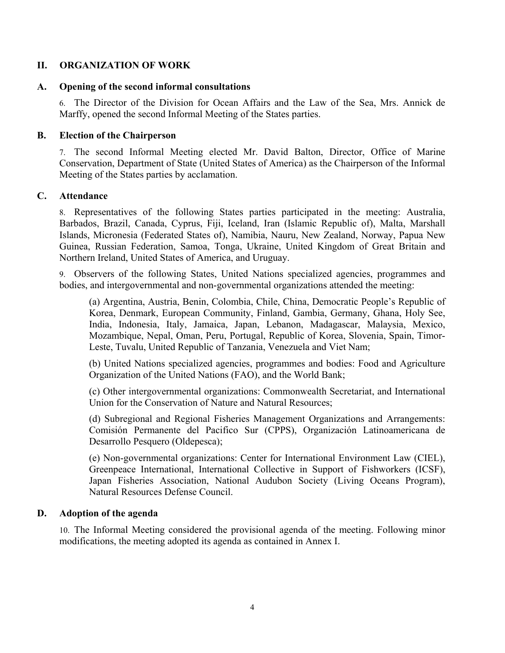## **II. ORGANIZATION OF WORK**

## **A. Opening of the second informal consultations**

6. The Director of the Division for Ocean Affairs and the Law of the Sea, Mrs. Annick de Marffy, opened the second Informal Meeting of the States parties.

## **B. Election of the Chairperson**

7. The second Informal Meeting elected Mr. David Balton, Director, Office of Marine Conservation, Department of State (United States of America) as the Chairperson of the Informal Meeting of the States parties by acclamation.

## **C. Attendance**

8. Representatives of the following States parties participated in the meeting: Australia, Barbados, Brazil, Canada, Cyprus, Fiji, Iceland, Iran (Islamic Republic of), Malta, Marshall Islands, Micronesia (Federated States of), Namibia, Nauru, New Zealand, Norway, Papua New Guinea, Russian Federation, Samoa, Tonga, Ukraine, United Kingdom of Great Britain and Northern Ireland, United States of America, and Uruguay.

9. Observers of the following States, United Nations specialized agencies, programmes and bodies, and intergovernmental and non-governmental organizations attended the meeting:

(a) Argentina, Austria, Benin, Colombia, Chile, China, Democratic People's Republic of Korea, Denmark, European Community, Finland, Gambia, Germany, Ghana, Holy See, India, Indonesia, Italy, Jamaica, Japan, Lebanon, Madagascar, Malaysia, Mexico, Mozambique, Nepal, Oman, Peru, Portugal, Republic of Korea, Slovenia, Spain, Timor-Leste, Tuvalu, United Republic of Tanzania, Venezuela and Viet Nam;

(b) United Nations specialized agencies, programmes and bodies: Food and Agriculture Organization of the United Nations (FAO), and the World Bank;

(c) Other intergovernmental organizations: Commonwealth Secretariat, and International Union for the Conservation of Nature and Natural Resources;

(d) Subregional and Regional Fisheries Management Organizations and Arrangements: Comisión Permanente del Pacifico Sur (CPPS), Organización Latinoamericana de Desarrollo Pesquero (Oldepesca);

(e) Non-governmental organizations: Center for International Environment Law (CIEL), Greenpeace International, International Collective in Support of Fishworkers (ICSF), Japan Fisheries Association, National Audubon Society (Living Oceans Program), Natural Resources Defense Council.

## **D. Adoption of the agenda**

10. The Informal Meeting considered the provisional agenda of the meeting. Following minor modifications, the meeting adopted its agenda as contained in Annex I.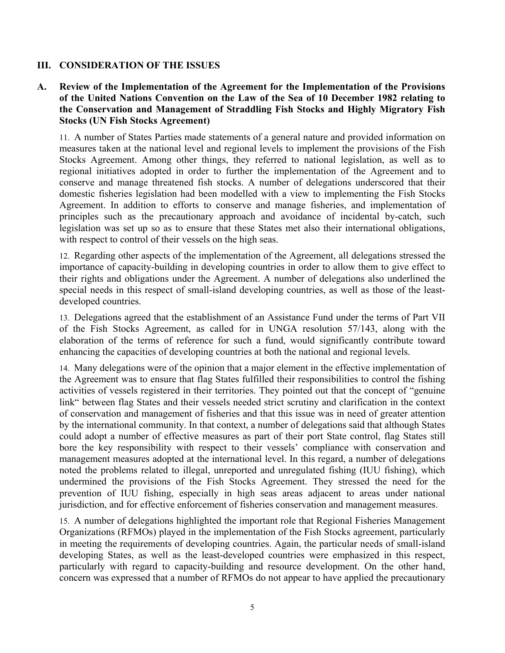## **III. CONSIDERATION OF THE ISSUES**

**A. Review of the Implementation of the Agreement for the Implementation of the Provisions of the United Nations Convention on the Law of the Sea of 10 December 1982 relating to the Conservation and Management of Straddling Fish Stocks and Highly Migratory Fish Stocks (UN Fish Stocks Agreement)** 

11. A number of States Parties made statements of a general nature and provided information on measures taken at the national level and regional levels to implement the provisions of the Fish Stocks Agreement. Among other things, they referred to national legislation, as well as to regional initiatives adopted in order to further the implementation of the Agreement and to conserve and manage threatened fish stocks. A number of delegations underscored that their domestic fisheries legislation had been modelled with a view to implementing the Fish Stocks Agreement. In addition to efforts to conserve and manage fisheries, and implementation of principles such as the precautionary approach and avoidance of incidental by-catch, such legislation was set up so as to ensure that these States met also their international obligations, with respect to control of their vessels on the high seas.

12. Regarding other aspects of the implementation of the Agreement, all delegations stressed the importance of capacity-building in developing countries in order to allow them to give effect to their rights and obligations under the Agreement. A number of delegations also underlined the special needs in this respect of small-island developing countries, as well as those of the leastdeveloped countries.

13. Delegations agreed that the establishment of an Assistance Fund under the terms of Part VII of the Fish Stocks Agreement, as called for in UNGA resolution 57/143, along with the elaboration of the terms of reference for such a fund, would significantly contribute toward enhancing the capacities of developing countries at both the national and regional levels.

14. Many delegations were of the opinion that a major element in the effective implementation of the Agreement was to ensure that flag States fulfilled their responsibilities to control the fishing activities of vessels registered in their territories. They pointed out that the concept of "genuine link" between flag States and their vessels needed strict scrutiny and clarification in the context of conservation and management of fisheries and that this issue was in need of greater attention by the international community. In that context, a number of delegations said that although States could adopt a number of effective measures as part of their port State control, flag States still bore the key responsibility with respect to their vessels' compliance with conservation and management measures adopted at the international level. In this regard, a number of delegations noted the problems related to illegal, unreported and unregulated fishing (IUU fishing), which undermined the provisions of the Fish Stocks Agreement. They stressed the need for the prevention of IUU fishing, especially in high seas areas adjacent to areas under national jurisdiction, and for effective enforcement of fisheries conservation and management measures.

15. A number of delegations highlighted the important role that Regional Fisheries Management Organizations (RFMOs) played in the implementation of the Fish Stocks agreement, particularly in meeting the requirements of developing countries. Again, the particular needs of small-island developing States, as well as the least-developed countries were emphasized in this respect, particularly with regard to capacity-building and resource development. On the other hand, concern was expressed that a number of RFMOs do not appear to have applied the precautionary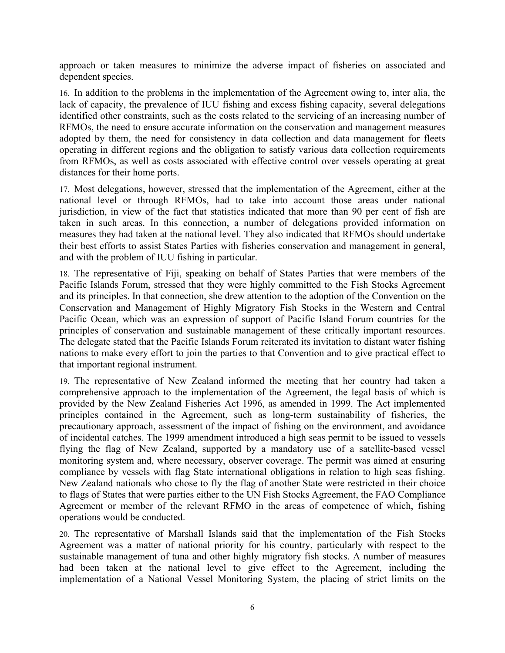approach or taken measures to minimize the adverse impact of fisheries on associated and dependent species.

16. In addition to the problems in the implementation of the Agreement owing to, inter alia, the lack of capacity, the prevalence of IUU fishing and excess fishing capacity, several delegations identified other constraints, such as the costs related to the servicing of an increasing number of RFMOs, the need to ensure accurate information on the conservation and management measures adopted by them, the need for consistency in data collection and data management for fleets operating in different regions and the obligation to satisfy various data collection requirements from RFMOs, as well as costs associated with effective control over vessels operating at great distances for their home ports.

17. Most delegations, however, stressed that the implementation of the Agreement, either at the national level or through RFMOs, had to take into account those areas under national jurisdiction, in view of the fact that statistics indicated that more than 90 per cent of fish are taken in such areas. In this connection, a number of delegations provided information on measures they had taken at the national level. They also indicated that RFMOs should undertake their best efforts to assist States Parties with fisheries conservation and management in general, and with the problem of IUU fishing in particular.

18. The representative of Fiji, speaking on behalf of States Parties that were members of the Pacific Islands Forum, stressed that they were highly committed to the Fish Stocks Agreement and its principles. In that connection, she drew attention to the adoption of the Convention on the Conservation and Management of Highly Migratory Fish Stocks in the Western and Central Pacific Ocean, which was an expression of support of Pacific Island Forum countries for the principles of conservation and sustainable management of these critically important resources. The delegate stated that the Pacific Islands Forum reiterated its invitation to distant water fishing nations to make every effort to join the parties to that Convention and to give practical effect to that important regional instrument.

19. The representative of New Zealand informed the meeting that her country had taken a comprehensive approach to the implementation of the Agreement, the legal basis of which is provided by the New Zealand Fisheries Act 1996, as amended in 1999. The Act implemented principles contained in the Agreement, such as long-term sustainability of fisheries, the precautionary approach, assessment of the impact of fishing on the environment, and avoidance of incidental catches. The 1999 amendment introduced a high seas permit to be issued to vessels flying the flag of New Zealand, supported by a mandatory use of a satellite-based vessel monitoring system and, where necessary, observer coverage. The permit was aimed at ensuring compliance by vessels with flag State international obligations in relation to high seas fishing. New Zealand nationals who chose to fly the flag of another State were restricted in their choice to flags of States that were parties either to the UN Fish Stocks Agreement, the FAO Compliance Agreement or member of the relevant RFMO in the areas of competence of which, fishing operations would be conducted.

20. The representative of Marshall Islands said that the implementation of the Fish Stocks Agreement was a matter of national priority for his country, particularly with respect to the sustainable management of tuna and other highly migratory fish stocks. A number of measures had been taken at the national level to give effect to the Agreement, including the implementation of a National Vessel Monitoring System, the placing of strict limits on the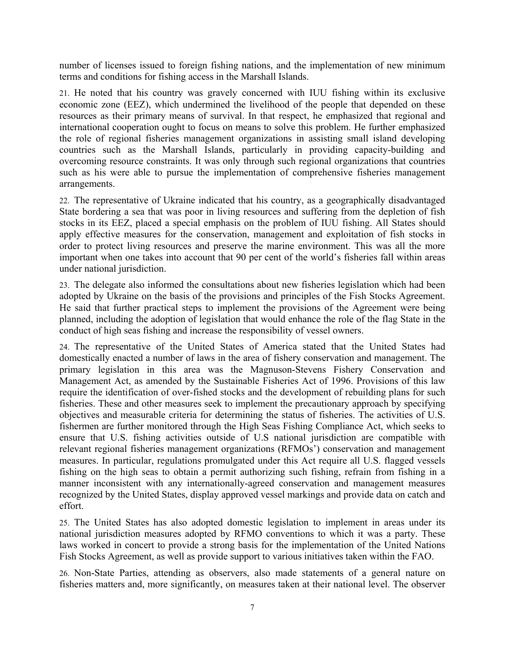number of licenses issued to foreign fishing nations, and the implementation of new minimum terms and conditions for fishing access in the Marshall Islands.

21. He noted that his country was gravely concerned with IUU fishing within its exclusive economic zone (EEZ), which undermined the livelihood of the people that depended on these resources as their primary means of survival. In that respect, he emphasized that regional and international cooperation ought to focus on means to solve this problem. He further emphasized the role of regional fisheries management organizations in assisting small island developing countries such as the Marshall Islands, particularly in providing capacity-building and overcoming resource constraints. It was only through such regional organizations that countries such as his were able to pursue the implementation of comprehensive fisheries management arrangements.

22. The representative of Ukraine indicated that his country, as a geographically disadvantaged State bordering a sea that was poor in living resources and suffering from the depletion of fish stocks in its EEZ, placed a special emphasis on the problem of IUU fishing. All States should apply effective measures for the conservation, management and exploitation of fish stocks in order to protect living resources and preserve the marine environment. This was all the more important when one takes into account that 90 per cent of the world's fisheries fall within areas under national jurisdiction.

23. The delegate also informed the consultations about new fisheries legislation which had been adopted by Ukraine on the basis of the provisions and principles of the Fish Stocks Agreement. He said that further practical steps to implement the provisions of the Agreement were being planned, including the adoption of legislation that would enhance the role of the flag State in the conduct of high seas fishing and increase the responsibility of vessel owners.

24. The representative of the United States of America stated that the United States had domestically enacted a number of laws in the area of fishery conservation and management. The primary legislation in this area was the Magnuson-Stevens Fishery Conservation and Management Act, as amended by the Sustainable Fisheries Act of 1996. Provisions of this law require the identification of over-fished stocks and the development of rebuilding plans for such fisheries. These and other measures seek to implement the precautionary approach by specifying objectives and measurable criteria for determining the status of fisheries. The activities of U.S. fishermen are further monitored through the High Seas Fishing Compliance Act, which seeks to ensure that U.S. fishing activities outside of U.S national jurisdiction are compatible with relevant regional fisheries management organizations (RFMOs') conservation and management measures. In particular, regulations promulgated under this Act require all U.S. flagged vessels fishing on the high seas to obtain a permit authorizing such fishing, refrain from fishing in a manner inconsistent with any internationally-agreed conservation and management measures recognized by the United States, display approved vessel markings and provide data on catch and effort.

25. The United States has also adopted domestic legislation to implement in areas under its national jurisdiction measures adopted by RFMO conventions to which it was a party. These laws worked in concert to provide a strong basis for the implementation of the United Nations Fish Stocks Agreement, as well as provide support to various initiatives taken within the FAO.

26. Non-State Parties, attending as observers, also made statements of a general nature on fisheries matters and, more significantly, on measures taken at their national level. The observer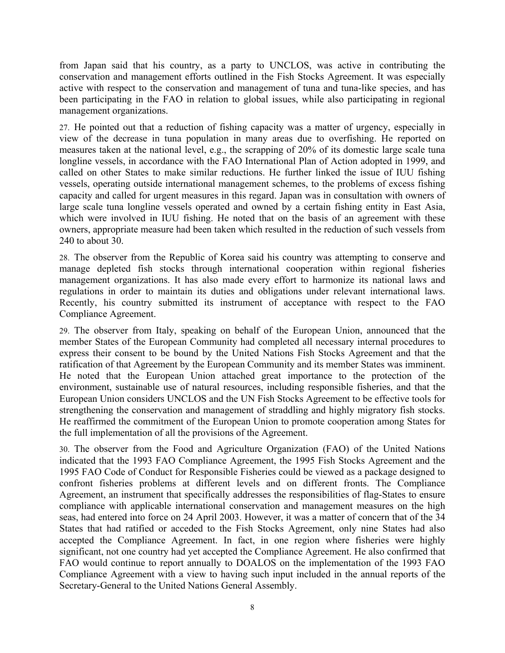from Japan said that his country, as a party to UNCLOS, was active in contributing the conservation and management efforts outlined in the Fish Stocks Agreement. It was especially active with respect to the conservation and management of tuna and tuna-like species, and has been participating in the FAO in relation to global issues, while also participating in regional management organizations.

27. He pointed out that a reduction of fishing capacity was a matter of urgency, especially in view of the decrease in tuna population in many areas due to overfishing. He reported on measures taken at the national level, e.g., the scrapping of 20% of its domestic large scale tuna longline vessels, in accordance with the FAO International Plan of Action adopted in 1999, and called on other States to make similar reductions. He further linked the issue of IUU fishing vessels, operating outside international management schemes, to the problems of excess fishing capacity and called for urgent measures in this regard. Japan was in consultation with owners of large scale tuna longline vessels operated and owned by a certain fishing entity in East Asia, which were involved in IUU fishing. He noted that on the basis of an agreement with these owners, appropriate measure had been taken which resulted in the reduction of such vessels from 240 to about 30.

28. The observer from the Republic of Korea said his country was attempting to conserve and manage depleted fish stocks through international cooperation within regional fisheries management organizations. It has also made every effort to harmonize its national laws and regulations in order to maintain its duties and obligations under relevant international laws. Recently, his country submitted its instrument of acceptance with respect to the FAO Compliance Agreement.

29. The observer from Italy, speaking on behalf of the European Union, announced that the member States of the European Community had completed all necessary internal procedures to express their consent to be bound by the United Nations Fish Stocks Agreement and that the ratification of that Agreement by the European Community and its member States was imminent. He noted that the European Union attached great importance to the protection of the environment, sustainable use of natural resources, including responsible fisheries, and that the European Union considers UNCLOS and the UN Fish Stocks Agreement to be effective tools for strengthening the conservation and management of straddling and highly migratory fish stocks. He reaffirmed the commitment of the European Union to promote cooperation among States for the full implementation of all the provisions of the Agreement.

30. The observer from the Food and Agriculture Organization (FAO) of the United Nations indicated that the 1993 FAO Compliance Agreement, the 1995 Fish Stocks Agreement and the 1995 FAO Code of Conduct for Responsible Fisheries could be viewed as a package designed to confront fisheries problems at different levels and on different fronts. The Compliance Agreement, an instrument that specifically addresses the responsibilities of flag-States to ensure compliance with applicable international conservation and management measures on the high seas, had entered into force on 24 April 2003. However, it was a matter of concern that of the 34 States that had ratified or acceded to the Fish Stocks Agreement, only nine States had also accepted the Compliance Agreement. In fact, in one region where fisheries were highly significant, not one country had yet accepted the Compliance Agreement. He also confirmed that FAO would continue to report annually to DOALOS on the implementation of the 1993 FAO Compliance Agreement with a view to having such input included in the annual reports of the Secretary-General to the United Nations General Assembly.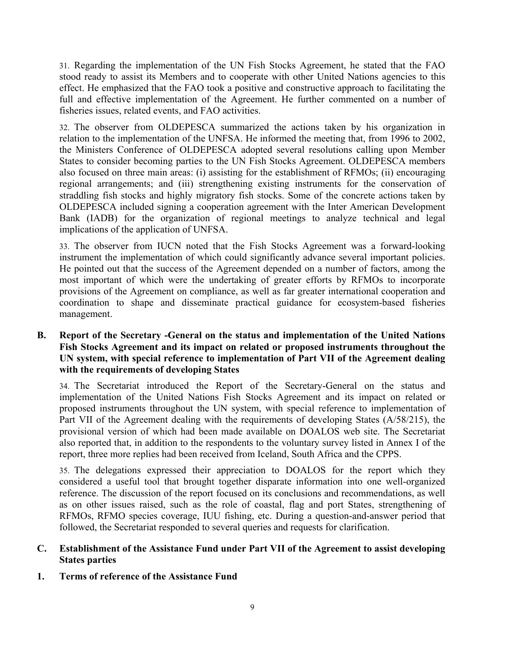31. Regarding the implementation of the UN Fish Stocks Agreement, he stated that the FAO stood ready to assist its Members and to cooperate with other United Nations agencies to this effect. He emphasized that the FAO took a positive and constructive approach to facilitating the full and effective implementation of the Agreement. He further commented on a number of fisheries issues, related events, and FAO activities.

32. The observer from OLDEPESCA summarized the actions taken by his organization in relation to the implementation of the UNFSA. He informed the meeting that, from 1996 to 2002, the Ministers Conference of OLDEPESCA adopted several resolutions calling upon Member States to consider becoming parties to the UN Fish Stocks Agreement. OLDEPESCA members also focused on three main areas: (i) assisting for the establishment of RFMOs; (ii) encouraging regional arrangements; and (iii) strengthening existing instruments for the conservation of straddling fish stocks and highly migratory fish stocks. Some of the concrete actions taken by OLDEPESCA included signing a cooperation agreement with the Inter American Development Bank (IADB) for the organization of regional meetings to analyze technical and legal implications of the application of UNFSA.

33. The observer from IUCN noted that the Fish Stocks Agreement was a forward-looking instrument the implementation of which could significantly advance several important policies. He pointed out that the success of the Agreement depended on a number of factors, among the most important of which were the undertaking of greater efforts by RFMOs to incorporate provisions of the Agreement on compliance, as well as far greater international cooperation and coordination to shape and disseminate practical guidance for ecosystem-based fisheries management.

## **B. Report of the Secretary -General on the status and implementation of the United Nations Fish Stocks Agreement and its impact on related or proposed instruments throughout the UN system, with special reference to implementation of Part VII of the Agreement dealing with the requirements of developing States**

34. The Secretariat introduced the Report of the Secretary-General on the status and implementation of the United Nations Fish Stocks Agreement and its impact on related or proposed instruments throughout the UN system, with special reference to implementation of Part VII of the Agreement dealing with the requirements of developing States (A/58/215), the provisional version of which had been made available on DOALOS web site. The Secretariat also reported that, in addition to the respondents to the voluntary survey listed in Annex I of the report, three more replies had been received from Iceland, South Africa and the CPPS.

35. The delegations expressed their appreciation to DOALOS for the report which they considered a useful tool that brought together disparate information into one well-organized reference. The discussion of the report focused on its conclusions and recommendations, as well as on other issues raised, such as the role of coastal, flag and port States, strengthening of RFMOs, RFMO species coverage, IUU fishing, etc. During a question-and-answer period that followed, the Secretariat responded to several queries and requests for clarification.

## **C. Establishment of the Assistance Fund under Part VII of the Agreement to assist developing States parties**

## **1. Terms of reference of the Assistance Fund**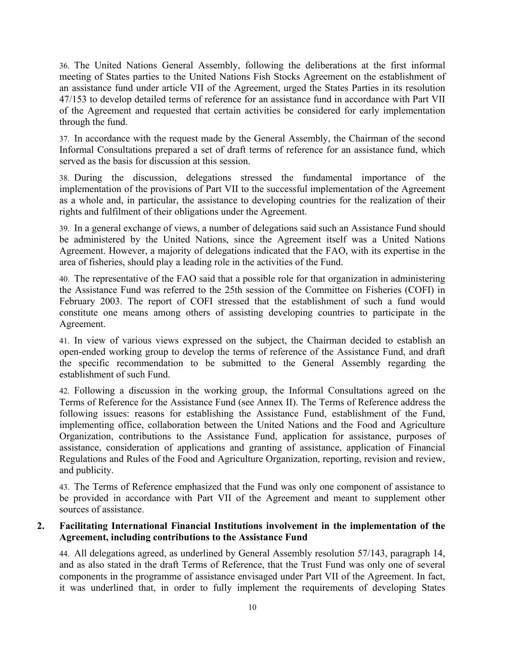36. The United Nations General Assembly, following the deliberations at the first informal meeting of States parties to the United Nations Fish Stocks Agreement on the establishment of an assistance fund under article VII of the Agreement, urged the States Parties in its resolution 47/153 to develop detailed terms of reference for an assistance fund in accordance with Part VII of the Agreement and requested that certain activities be considered for early implementation through the fund.

37. In accordance with the request made by the General Assembly, the Chairman of the second Informal Consultations prepared a set of draft terms of reference for an assistance fund, which served as the basis for discussion at this session.

38. During the discussion, delegations stressed the fundamental importance of the implementation of the provisions of Part VII to the successful implementation of the Agreement as a whole and, in particular, the assistance to developing countries for the realization of their rights and fulfilment of their obligations under the Agreement.

39. In a general exchange of views, a number of delegations said such an Assistance Fund should be administered by the United Nations, since the Agreement itself was a United Nations Agreement. However, a majority of delegations indicated that the FAO, with its expertise in the area of fisheries, should play a leading role in the activities of the Fund.

40. The representative of the FAO said that a possible role for that organization in administering the Assistance Fund was referred to the 25th session of the Committee on Fisheries (COFI) in February 2003. The report of COFI stressed that the establishment of such a fund would constitute one means among others of assisting developing countries to participate in the Agreement.

41. In view of various views expressed on the subject, the Chairman decided to establish an open-ended working group to develop the terms of reference of the Assistance Fund, and draft the specific recommendation to be submitted to the General Assembly regarding the establishment of such Fund.

42. Following a discussion in the working group, the Informal Consultations agreed on the Terms of Reference for the Assistance Fund (see Annex II). The Terms of Reference address the following issues: reasons for establishing the Assistance Fund, establishment of the Fund, implementing office, collaboration between the United Nations and the Food and Agriculture Organization, contributions to the Assistance Fund, application for assistance, purposes of assistance, consideration of applications and granting of assistance, application of Financial Regulations and Rules of the Food and Agriculture Organization, reporting, revision and review, and publicity.

43. The Terms of Reference emphasized that the Fund was only one component of assistance to be provided in accordance with Part VII of the Agreement and meant to supplement other sources of assistance.

## **2. Facilitating International Financial Institutions involvement in the implementation of the Agreement, including contributions to the Assistance Fund**

44. All delegations agreed, as underlined by General Assembly resolution 57/143, paragraph 14, and as also stated in the draft Terms of Reference, that the Trust Fund was only one of several components in the programme of assistance envisaged under Part VII of the Agreement. In fact, it was underlined that, in order to fully implement the requirements of developing States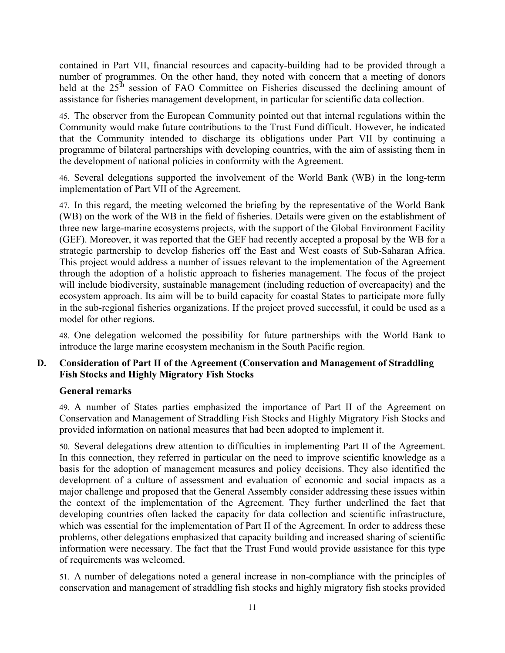contained in Part VII, financial resources and capacity-building had to be provided through a number of programmes. On the other hand, they noted with concern that a meeting of donors held at the 25<sup>th</sup> session of FAO Committee on Fisheries discussed the declining amount of assistance for fisheries management development, in particular for scientific data collection.

45. The observer from the European Community pointed out that internal regulations within the Community would make future contributions to the Trust Fund difficult. However, he indicated that the Community intended to discharge its obligations under Part VII by continuing a programme of bilateral partnerships with developing countries, with the aim of assisting them in the development of national policies in conformity with the Agreement.

46. Several delegations supported the involvement of the World Bank (WB) in the long-term implementation of Part VII of the Agreement.

47. In this regard, the meeting welcomed the briefing by the representative of the World Bank (WB) on the work of the WB in the field of fisheries. Details were given on the establishment of three new large-marine ecosystems projects, with the support of the Global Environment Facility (GEF). Moreover, it was reported that the GEF had recently accepted a proposal by the WB for a strategic partnership to develop fisheries off the East and West coasts of Sub-Saharan Africa. This project would address a number of issues relevant to the implementation of the Agreement through the adoption of a holistic approach to fisheries management. The focus of the project will include biodiversity, sustainable management (including reduction of overcapacity) and the ecosystem approach. Its aim will be to build capacity for coastal States to participate more fully in the sub-regional fisheries organizations. If the project proved successful, it could be used as a model for other regions.

48. One delegation welcomed the possibility for future partnerships with the World Bank to introduce the large marine ecosystem mechanism in the South Pacific region.

## **D. Consideration of Part II of the Agreement (Conservation and Management of Straddling Fish Stocks and Highly Migratory Fish Stocks**

## **General remarks**

49. A number of States parties emphasized the importance of Part II of the Agreement on Conservation and Management of Straddling Fish Stocks and Highly Migratory Fish Stocks and provided information on national measures that had been adopted to implement it.

50. Several delegations drew attention to difficulties in implementing Part II of the Agreement. In this connection, they referred in particular on the need to improve scientific knowledge as a basis for the adoption of management measures and policy decisions. They also identified the development of a culture of assessment and evaluation of economic and social impacts as a major challenge and proposed that the General Assembly consider addressing these issues within the context of the implementation of the Agreement. They further underlined the fact that developing countries often lacked the capacity for data collection and scientific infrastructure, which was essential for the implementation of Part II of the Agreement. In order to address these problems, other delegations emphasized that capacity building and increased sharing of scientific information were necessary. The fact that the Trust Fund would provide assistance for this type of requirements was welcomed.

51. A number of delegations noted a general increase in non-compliance with the principles of conservation and management of straddling fish stocks and highly migratory fish stocks provided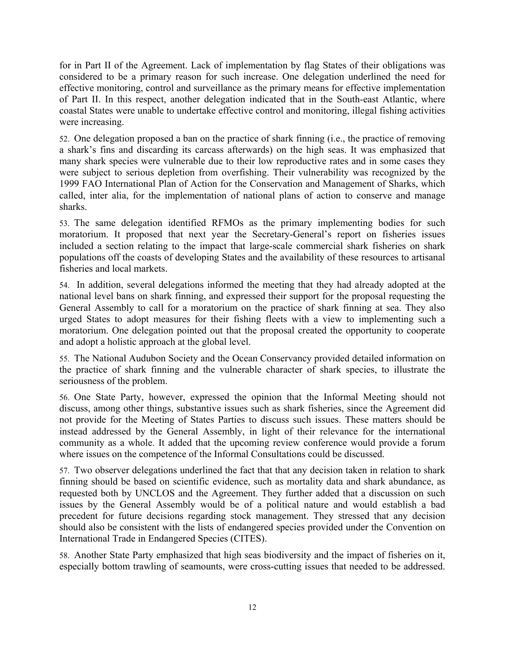for in Part II of the Agreement. Lack of implementation by flag States of their obligations was considered to be a primary reason for such increase. One delegation underlined the need for effective monitoring, control and surveillance as the primary means for effective implementation of Part II. In this respect, another delegation indicated that in the South-east Atlantic, where coastal States were unable to undertake effective control and monitoring, illegal fishing activities were increasing.

52. One delegation proposed a ban on the practice of shark finning (i.e., the practice of removing a shark's fins and discarding its carcass afterwards) on the high seas. It was emphasized that many shark species were vulnerable due to their low reproductive rates and in some cases they were subject to serious depletion from overfishing. Their vulnerability was recognized by the 1999 FAO International Plan of Action for the Conservation and Management of Sharks, which called, inter alia, for the implementation of national plans of action to conserve and manage sharks.

53. The same delegation identified RFMOs as the primary implementing bodies for such moratorium. It proposed that next year the Secretary-General's report on fisheries issues included a section relating to the impact that large-scale commercial shark fisheries on shark populations off the coasts of developing States and the availability of these resources to artisanal fisheries and local markets.

54. In addition, several delegations informed the meeting that they had already adopted at the national level bans on shark finning, and expressed their support for the proposal requesting the General Assembly to call for a moratorium on the practice of shark finning at sea. They also urged States to adopt measures for their fishing fleets with a view to implementing such a moratorium. One delegation pointed out that the proposal created the opportunity to cooperate and adopt a holistic approach at the global level.

55. The National Audubon Society and the Ocean Conservancy provided detailed information on the practice of shark finning and the vulnerable character of shark species, to illustrate the seriousness of the problem.

56. One State Party, however, expressed the opinion that the Informal Meeting should not discuss, among other things, substantive issues such as shark fisheries, since the Agreement did not provide for the Meeting of States Parties to discuss such issues. These matters should be instead addressed by the General Assembly, in light of their relevance for the international community as a whole. It added that the upcoming review conference would provide a forum where issues on the competence of the Informal Consultations could be discussed.

57. Two observer delegations underlined the fact that that any decision taken in relation to shark finning should be based on scientific evidence, such as mortality data and shark abundance, as requested both by UNCLOS and the Agreement. They further added that a discussion on such issues by the General Assembly would be of a political nature and would establish a bad precedent for future decisions regarding stock management. They stressed that any decision should also be consistent with the lists of endangered species provided under the Convention on International Trade in Endangered Species (CITES).

58. Another State Party emphasized that high seas biodiversity and the impact of fisheries on it, especially bottom trawling of seamounts, were cross-cutting issues that needed to be addressed.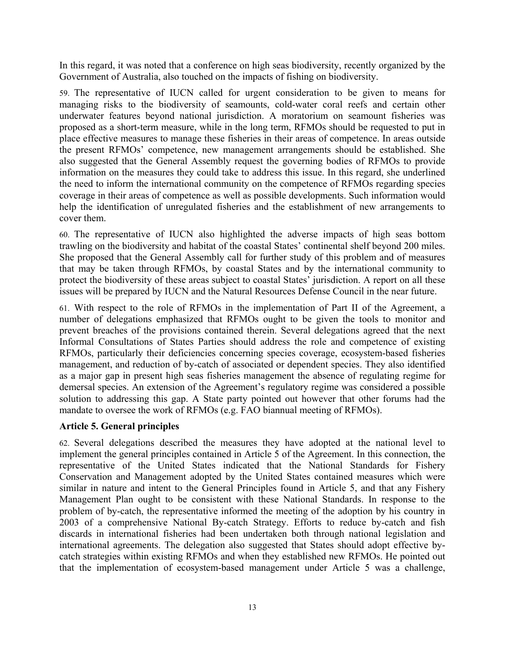In this regard, it was noted that a conference on high seas biodiversity, recently organized by the Government of Australia, also touched on the impacts of fishing on biodiversity.

59. The representative of IUCN called for urgent consideration to be given to means for managing risks to the biodiversity of seamounts, cold-water coral reefs and certain other underwater features beyond national jurisdiction. A moratorium on seamount fisheries was proposed as a short-term measure, while in the long term, RFMOs should be requested to put in place effective measures to manage these fisheries in their areas of competence. In areas outside the present RFMOs' competence, new management arrangements should be established. She also suggested that the General Assembly request the governing bodies of RFMOs to provide information on the measures they could take to address this issue. In this regard, she underlined the need to inform the international community on the competence of RFMOs regarding species coverage in their areas of competence as well as possible developments. Such information would help the identification of unregulated fisheries and the establishment of new arrangements to cover them.

60. The representative of IUCN also highlighted the adverse impacts of high seas bottom trawling on the biodiversity and habitat of the coastal States' continental shelf beyond 200 miles. She proposed that the General Assembly call for further study of this problem and of measures that may be taken through RFMOs, by coastal States and by the international community to protect the biodiversity of these areas subject to coastal States' jurisdiction. A report on all these issues will be prepared by IUCN and the Natural Resources Defense Council in the near future.

61. With respect to the role of RFMOs in the implementation of Part II of the Agreement, a number of delegations emphasized that RFMOs ought to be given the tools to monitor and prevent breaches of the provisions contained therein. Several delegations agreed that the next Informal Consultations of States Parties should address the role and competence of existing RFMOs, particularly their deficiencies concerning species coverage, ecosystem-based fisheries management, and reduction of by-catch of associated or dependent species. They also identified as a major gap in present high seas fisheries management the absence of regulating regime for demersal species. An extension of the Agreement's regulatory regime was considered a possible solution to addressing this gap. A State party pointed out however that other forums had the mandate to oversee the work of RFMOs (e.g. FAO biannual meeting of RFMOs).

## **Article 5. General principles**

62. Several delegations described the measures they have adopted at the national level to implement the general principles contained in Article 5 of the Agreement. In this connection, the representative of the United States indicated that the National Standards for Fishery Conservation and Management adopted by the United States contained measures which were similar in nature and intent to the General Principles found in Article 5, and that any Fishery Management Plan ought to be consistent with these National Standards. In response to the problem of by-catch, the representative informed the meeting of the adoption by his country in 2003 of a comprehensive National By-catch Strategy. Efforts to reduce by-catch and fish discards in international fisheries had been undertaken both through national legislation and international agreements. The delegation also suggested that States should adopt effective bycatch strategies within existing RFMOs and when they established new RFMOs. He pointed out that the implementation of ecosystem-based management under Article 5 was a challenge,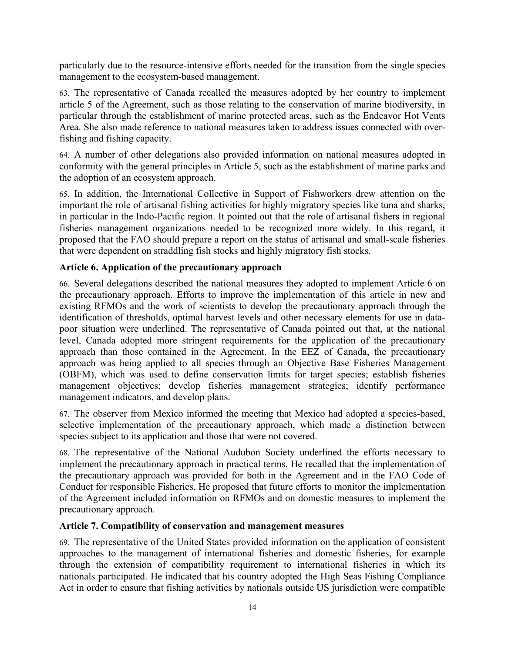particularly due to the resource-intensive efforts needed for the transition from the single species management to the ecosystem-based management.

63. The representative of Canada recalled the measures adopted by her country to implement article 5 of the Agreement, such as those relating to the conservation of marine biodiversity, in particular through the establishment of marine protected areas, such as the Endeavor Hot Vents Area. She also made reference to national measures taken to address issues connected with overfishing and fishing capacity.

64. A number of other delegations also provided information on national measures adopted in conformity with the general principles in Article 5, such as the establishment of marine parks and the adoption of an ecosystem approach.

65. In addition, the International Collective in Support of Fishworkers drew attention on the important the role of artisanal fishing activities for highly migratory species like tuna and sharks, in particular in the Indo-Pacific region. It pointed out that the role of artisanal fishers in regional fisheries management organizations needed to be recognized more widely. In this regard, it proposed that the FAO should prepare a report on the status of artisanal and small-scale fisheries that were dependent on straddling fish stocks and highly migratory fish stocks.

## **Article 6. Application of the precautionary approach**

66. Several delegations described the national measures they adopted to implement Article 6 on the precautionary approach. Efforts to improve the implementation of this article in new and existing RFMOs and the work of scientists to develop the precautionary approach through the identification of thresholds, optimal harvest levels and other necessary elements for use in datapoor situation were underlined. The representative of Canada pointed out that, at the national level, Canada adopted more stringent requirements for the application of the precautionary approach than those contained in the Agreement. In the EEZ of Canada, the precautionary approach was being applied to all species through an Objective Base Fisheries Management (OBFM), which was used to define conservation limits for target species; establish fisheries management objectives; develop fisheries management strategies; identify performance management indicators, and develop plans.

67. The observer from Mexico informed the meeting that Mexico had adopted a species-based, selective implementation of the precautionary approach, which made a distinction between species subject to its application and those that were not covered.

68. The representative of the National Audubon Society underlined the efforts necessary to implement the precautionary approach in practical terms. He recalled that the implementation of the precautionary approach was provided for both in the Agreement and in the FAO Code of Conduct for responsible Fisheries. He proposed that future efforts to monitor the implementation of the Agreement included information on RFMOs and on domestic measures to implement the precautionary approach.

## **Article 7. Compatibility of conservation and management measures**

69. The representative of the United States provided information on the application of consistent approaches to the management of international fisheries and domestic fisheries, for example through the extension of compatibility requirement to international fisheries in which its nationals participated. He indicated that his country adopted the High Seas Fishing Compliance Act in order to ensure that fishing activities by nationals outside US jurisdiction were compatible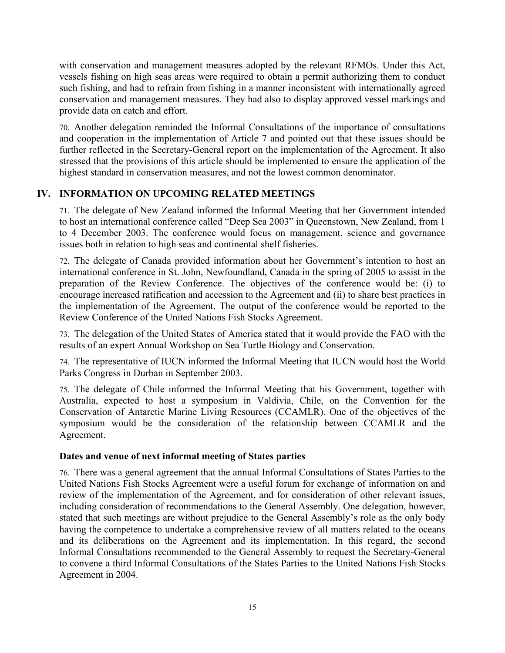with conservation and management measures adopted by the relevant RFMOs. Under this Act, vessels fishing on high seas areas were required to obtain a permit authorizing them to conduct such fishing, and had to refrain from fishing in a manner inconsistent with internationally agreed conservation and management measures. They had also to display approved vessel markings and provide data on catch and effort.

70. Another delegation reminded the Informal Consultations of the importance of consultations and cooperation in the implementation of Article 7 and pointed out that these issues should be further reflected in the Secretary-General report on the implementation of the Agreement. It also stressed that the provisions of this article should be implemented to ensure the application of the highest standard in conservation measures, and not the lowest common denominator.

## **IV. INFORMATION ON UPCOMING RELATED MEETINGS**

71. The delegate of New Zealand informed the Informal Meeting that her Government intended to host an international conference called "Deep Sea 2003" in Queenstown, New Zealand, from 1 to 4 December 2003. The conference would focus on management, science and governance issues both in relation to high seas and continental shelf fisheries.

72. The delegate of Canada provided information about her Government's intention to host an international conference in St. John, Newfoundland, Canada in the spring of 2005 to assist in the preparation of the Review Conference. The objectives of the conference would be: (i) to encourage increased ratification and accession to the Agreement and (ii) to share best practices in the implementation of the Agreement. The output of the conference would be reported to the Review Conference of the United Nations Fish Stocks Agreement.

73. The delegation of the United States of America stated that it would provide the FAO with the results of an expert Annual Workshop on Sea Turtle Biology and Conservation.

74. The representative of IUCN informed the Informal Meeting that IUCN would host the World Parks Congress in Durban in September 2003.

75. The delegate of Chile informed the Informal Meeting that his Government, together with Australia, expected to host a symposium in Valdivia, Chile, on the Convention for the Conservation of Antarctic Marine Living Resources (CCAMLR). One of the objectives of the symposium would be the consideration of the relationship between CCAMLR and the Agreement.

## **Dates and venue of next informal meeting of States parties**

76. There was a general agreement that the annual Informal Consultations of States Parties to the United Nations Fish Stocks Agreement were a useful forum for exchange of information on and review of the implementation of the Agreement, and for consideration of other relevant issues, including consideration of recommendations to the General Assembly. One delegation, however, stated that such meetings are without prejudice to the General Assembly's role as the only body having the competence to undertake a comprehensive review of all matters related to the oceans and its deliberations on the Agreement and its implementation. In this regard, the second Informal Consultations recommended to the General Assembly to request the Secretary-General to convene a third Informal Consultations of the States Parties to the United Nations Fish Stocks Agreement in 2004.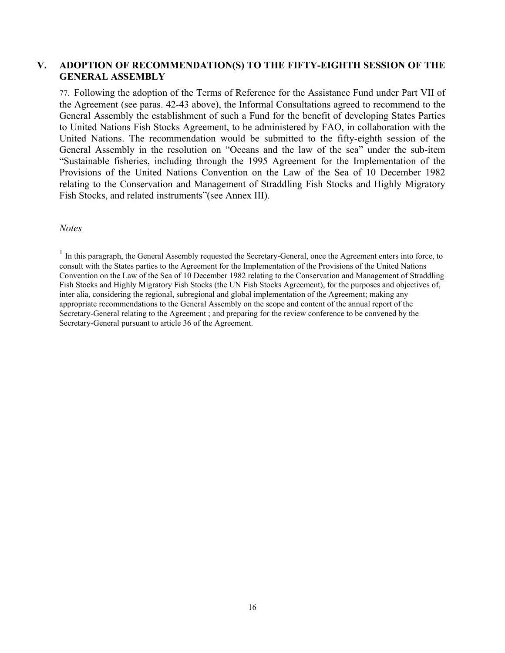## **V. ADOPTION OF RECOMMENDATION(S) TO THE FIFTY-EIGHTH SESSION OF THE GENERAL ASSEMBLY**

<span id="page-15-0"></span>77. Following the adoption of the Terms of Reference for the Assistance Fund under Part VII of the Agreement (see paras. 42-43 above), the Informal Consultations agreed to recommend to the General Assembly the establishment of such a Fund for the benefit of developing States Parties to United Nations Fish Stocks Agreement, to be administered by FAO, in collaboration with the United Nations. The recommendation would be submitted to the fifty-eighth session of the General Assembly in the resolution on "Oceans and the law of the sea" under the sub-item "Sustainable fisheries, including through the 1995 Agreement for the Implementation of the Provisions of the United Nations Convention on the Law of the Sea of 10 December 1982 relating to the Conservation and Management of Straddling Fish Stocks and Highly Migratory Fish Stocks, and related instruments"(see Annex III).

*Notes* 

 $<sup>1</sup>$  In this paragraph, the General Assembly requested the Secretary-General, once the Agreement enters into force, to</sup> consult with the States parties to the Agreement for the Implementation of the Provisions of the United Nations Convention on the Law of the Sea of 10 December 1982 relating to the Conservation and Management of Straddling Fish Stocks and Highly Migratory Fish Stocks (the UN Fish Stocks Agreement), for the purposes and objectives of, inter alia, considering the regional, subregional and global implementation of the Agreement; making any appropriate recommendations to the General Assembly on the scope and content of the annual report of the Secretary-General relating to the Agreement ; and preparing for the review conference to be convened by the Secretary-General pursuant to article 36 of the Agreement.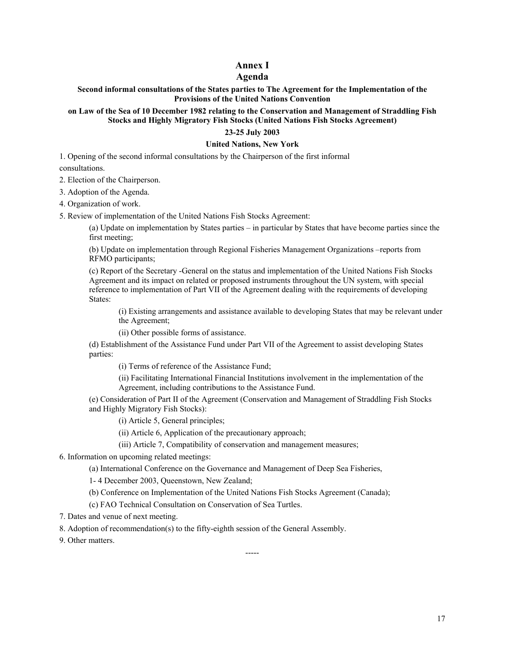## **Annex I**

### **Agenda**

### **Second informal consultations of the States parties to The Agreement for the Implementation of the Provisions of the United Nations Convention**

### **on Law of the Sea of 10 December 1982 relating to the Conservation and Management of Straddling Fish Stocks and Highly Migratory Fish Stocks (United Nations Fish Stocks Agreement)**

### **23-25 July 2003**

### **United Nations, New York**

1. Opening of the second informal consultations by the Chairperson of the first informal consultations.

2. Election of the Chairperson.

3. Adoption of the Agenda.

4. Organization of work.

5. Review of implementation of the United Nations Fish Stocks Agreement:

(a) Update on implementation by States parties – in particular by States that have become parties since the first meeting;

(b) Update on implementation through Regional Fisheries Management Organizations –reports from RFMO participants;

(c) Report of the Secretary -General on the status and implementation of the United Nations Fish Stocks Agreement and its impact on related or proposed instruments throughout the UN system, with special reference to implementation of Part VII of the Agreement dealing with the requirements of developing States:

(i) Existing arrangements and assistance available to developing States that may be relevant under the Agreement;

(ii) Other possible forms of assistance.

(d) Establishment of the Assistance Fund under Part VII of the Agreement to assist developing States parties:

(i) Terms of reference of the Assistance Fund;

(ii) Facilitating International Financial Institutions involvement in the implementation of the Agreement, including contributions to the Assistance Fund.

(e) Consideration of Part II of the Agreement (Conservation and Management of Straddling Fish Stocks and Highly Migratory Fish Stocks):

(i) Article 5, General principles;

(ii) Article 6, Application of the precautionary approach;

(iii) Article 7, Compatibility of conservation and management measures;

6. Information on upcoming related meetings:

(a) International Conference on the Governance and Management of Deep Sea Fisheries,

1- 4 December 2003, Queenstown, New Zealand;

(b) Conference on Implementation of the United Nations Fish Stocks Agreement (Canada);

(c) FAO Technical Consultation on Conservation of Sea Turtles.

7. Dates and venue of next meeting.

8. Adoption of recommendation(s) to the fifty-eighth session of the General Assembly.

9. Other matters.

-----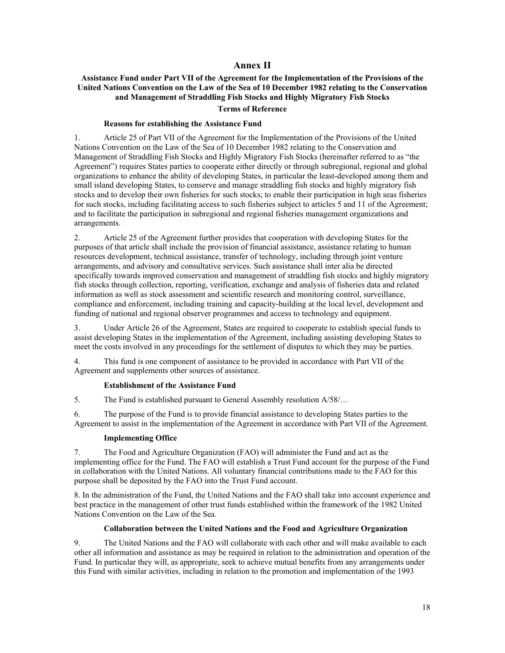### **Annex II**

### **Assistance Fund under Part VII of the Agreement for the Implementation of the Provisions of the United Nations Convention on the Law of the Sea of 10 December 1982 relating to the Conservation and Management of Straddling Fish Stocks and Highly Migratory Fish Stocks**

### **Terms of Reference**

### **Reasons for establishing the Assistance Fund**

1. Article 25 of Part VII of the Agreement for the Implementation of the Provisions of the United Nations Convention on the Law of the Sea of 10 December 1982 relating to the Conservation and Management of Straddling Fish Stocks and Highly Migratory Fish Stocks (hereinafter referred to as "the Agreement") requires States parties to cooperate either directly or through subregional, regional and global organizations to enhance the ability of developing States, in particular the least-developed among them and small island developing States, to conserve and manage straddling fish stocks and highly migratory fish stocks and to develop their own fisheries for such stocks; to enable their participation in high seas fisheries for such stocks, including facilitating access to such fisheries subject to articles 5 and 11 of the Agreement; and to facilitate the participation in subregional and regional fisheries management organizations and arrangements.

2. Article 25 of the Agreement further provides that cooperation with developing States for the purposes of that article shall include the provision of financial assistance, assistance relating to human resources development, technical assistance, transfer of technology, including through joint venture arrangements, and advisory and consultative services. Such assistance shall inter alia be directed specifically towards improved conservation and management of straddling fish stocks and highly migratory fish stocks through collection, reporting, verification, exchange and analysis of fisheries data and related information as well as stock assessment and scientific research and monitoring control, surveillance, compliance and enforcement, including training and capacity-building at the local level, development and funding of national and regional observer programmes and access to technology and equipment.

3. Under Article 26 of the Agreement, States are required to cooperate to establish special funds to assist developing States in the implementation of the Agreement, including assisting developing States to meet the costs involved in any proceedings for the settlement of disputes to which they may be parties.

4. This fund is one component of assistance to be provided in accordance with Part VII of the Agreement and supplements other sources of assistance.

#### **Establishment of the Assistance Fund**

5. The Fund is established pursuant to General Assembly resolution A/58/…

6. The purpose of the Fund is to provide financial assistance to developing States parties to the Agreement to assist in the implementation of the Agreement in accordance with Part VII of the Agreement.

### **Implementing Office**

7. The Food and Agriculture Organization (FAO) will administer the Fund and act as the implementing office for the Fund. The FAO will establish a Trust Fund account for the purpose of the Fund in collaboration with the United Nations. All voluntary financial contributions made to the FAO for this purpose shall be deposited by the FAO into the Trust Fund account.

8. In the administration of the Fund, the United Nations and the FAO shall take into account experience and best practice in the management of other trust funds established within the framework of the 1982 United Nations Convention on the Law of the Sea.

#### **Collaboration between the United Nations and the Food and Agriculture Organization**

9. The United Nations and the FAO will collaborate with each other and will make available to each other all information and assistance as may be required in relation to the administration and operation of the Fund. In particular they will, as appropriate, seek to achieve mutual benefits from any arrangements under this Fund with similar activities, including in relation to the promotion and implementation of the 1993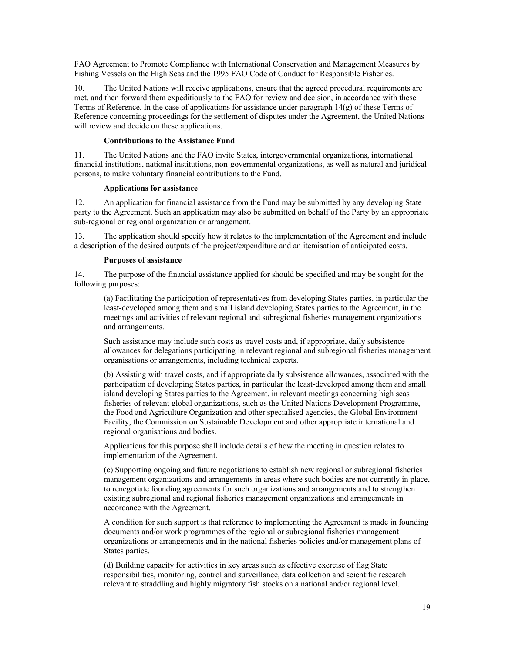FAO Agreement to Promote Compliance with International Conservation and Management Measures by Fishing Vessels on the High Seas and the 1995 FAO Code of Conduct for Responsible Fisheries.

10. The United Nations will receive applications, ensure that the agreed procedural requirements are met, and then forward them expeditiously to the FAO for review and decision, in accordance with these Terms of Reference. In the case of applications for assistance under paragraph 14(g) of these Terms of Reference concerning proceedings for the settlement of disputes under the Agreement, the United Nations will review and decide on these applications.

### **Contributions to the Assistance Fund**

11. The United Nations and the FAO invite States, intergovernmental organizations, international financial institutions, national institutions, non-governmental organizations, as well as natural and juridical persons, to make voluntary financial contributions to the Fund.

### **Applications for assistance**

12. An application for financial assistance from the Fund may be submitted by any developing State party to the Agreement. Such an application may also be submitted on behalf of the Party by an appropriate sub-regional or regional organization or arrangement.

13. The application should specify how it relates to the implementation of the Agreement and include a description of the desired outputs of the project/expenditure and an itemisation of anticipated costs.

### **Purposes of assistance**

14. The purpose of the financial assistance applied for should be specified and may be sought for the following purposes:

(a) Facilitating the participation of representatives from developing States parties, in particular the least-developed among them and small island developing States parties to the Agreement, in the meetings and activities of relevant regional and subregional fisheries management organizations and arrangements.

Such assistance may include such costs as travel costs and, if appropriate, daily subsistence allowances for delegations participating in relevant regional and subregional fisheries management organisations or arrangements, including technical experts.

(b) Assisting with travel costs, and if appropriate daily subsistence allowances, associated with the participation of developing States parties, in particular the least-developed among them and small island developing States parties to the Agreement, in relevant meetings concerning high seas fisheries of relevant global organizations, such as the United Nations Development Programme, the Food and Agriculture Organization and other specialised agencies, the Global Environment Facility, the Commission on Sustainable Development and other appropriate international and regional organisations and bodies.

Applications for this purpose shall include details of how the meeting in question relates to implementation of the Agreement.

(c) Supporting ongoing and future negotiations to establish new regional or subregional fisheries management organizations and arrangements in areas where such bodies are not currently in place, to renegotiate founding agreements for such organizations and arrangements and to strengthen existing subregional and regional fisheries management organizations and arrangements in accordance with the Agreement.

A condition for such support is that reference to implementing the Agreement is made in founding documents and/or work programmes of the regional or subregional fisheries management organizations or arrangements and in the national fisheries policies and/or management plans of States parties.

(d) Building capacity for activities in key areas such as effective exercise of flag State responsibilities, monitoring, control and surveillance, data collection and scientific research relevant to straddling and highly migratory fish stocks on a national and/or regional level.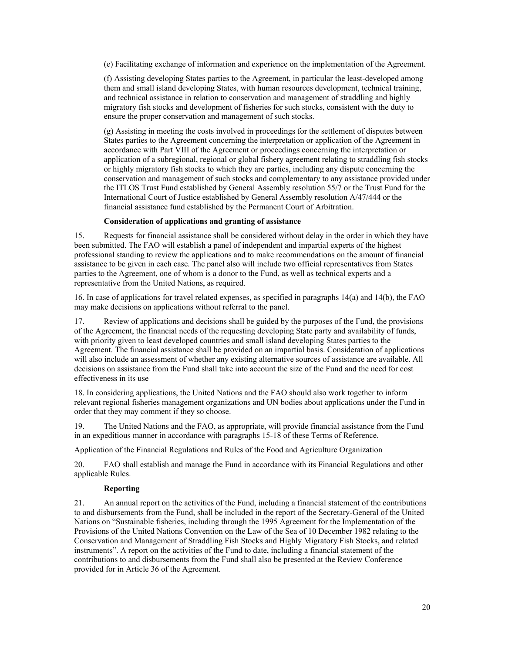(e) Facilitating exchange of information and experience on the implementation of the Agreement.

(f) Assisting developing States parties to the Agreement, in particular the least-developed among them and small island developing States, with human resources development, technical training, and technical assistance in relation to conservation and management of straddling and highly migratory fish stocks and development of fisheries for such stocks, consistent with the duty to ensure the proper conservation and management of such stocks.

(g) Assisting in meeting the costs involved in proceedings for the settlement of disputes between States parties to the Agreement concerning the interpretation or application of the Agreement in accordance with Part VIII of the Agreement or proceedings concerning the interpretation or application of a subregional, regional or global fishery agreement relating to straddling fish stocks or highly migratory fish stocks to which they are parties, including any dispute concerning the conservation and management of such stocks and complementary to any assistance provided under the ITLOS Trust Fund established by General Assembly resolution 55/7 or the Trust Fund for the International Court of Justice established by General Assembly resolution A/47/444 or the financial assistance fund established by the Permanent Court of Arbitration.

### **Consideration of applications and granting of assistance**

15. Requests for financial assistance shall be considered without delay in the order in which they have been submitted. The FAO will establish a panel of independent and impartial experts of the highest professional standing to review the applications and to make recommendations on the amount of financial assistance to be given in each case. The panel also will include two official representatives from States parties to the Agreement, one of whom is a donor to the Fund, as well as technical experts and a representative from the United Nations, as required.

16. In case of applications for travel related expenses, as specified in paragraphs 14(a) and 14(b), the FAO may make decisions on applications without referral to the panel.

17. Review of applications and decisions shall be guided by the purposes of the Fund, the provisions of the Agreement, the financial needs of the requesting developing State party and availability of funds, with priority given to least developed countries and small island developing States parties to the Agreement. The financial assistance shall be provided on an impartial basis. Consideration of applications will also include an assessment of whether any existing alternative sources of assistance are available. All decisions on assistance from the Fund shall take into account the size of the Fund and the need for cost effectiveness in its use

18. In considering applications, the United Nations and the FAO should also work together to inform relevant regional fisheries management organizations and UN bodies about applications under the Fund in order that they may comment if they so choose.

19. The United Nations and the FAO, as appropriate, will provide financial assistance from the Fund in an expeditious manner in accordance with paragraphs 15-18 of these Terms of Reference.

Application of the Financial Regulations and Rules of the Food and Agriculture Organization

20. FAO shall establish and manage the Fund in accordance with its Financial Regulations and other applicable Rules.

### **Reporting**

21. An annual report on the activities of the Fund, including a financial statement of the contributions to and disbursements from the Fund, shall be included in the report of the Secretary-General of the United Nations on "Sustainable fisheries, including through the 1995 Agreement for the Implementation of the Provisions of the United Nations Convention on the Law of the Sea of 10 December 1982 relating to the Conservation and Management of Straddling Fish Stocks and Highly Migratory Fish Stocks, and related instruments". A report on the activities of the Fund to date, including a financial statement of the contributions to and disbursements from the Fund shall also be presented at the Review Conference provided for in Article 36 of the Agreement.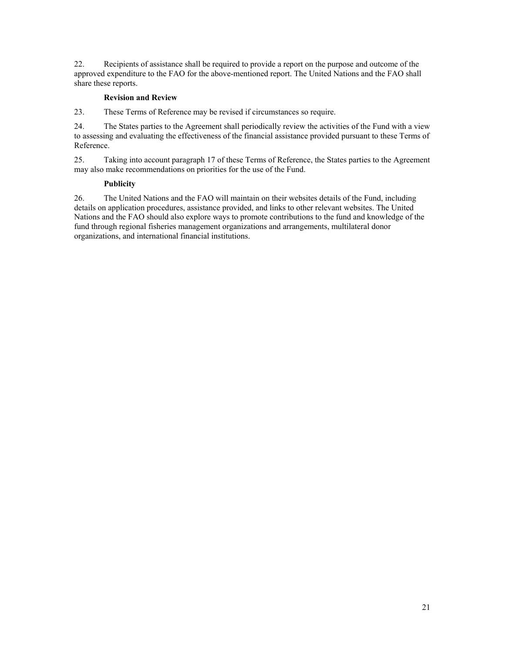22. Recipients of assistance shall be required to provide a report on the purpose and outcome of the approved expenditure to the FAO for the above-mentioned report. The United Nations and the FAO shall share these reports.

### **Revision and Review**

23. These Terms of Reference may be revised if circumstances so require.

24. The States parties to the Agreement shall periodically review the activities of the Fund with a view to assessing and evaluating the effectiveness of the financial assistance provided pursuant to these Terms of Reference.

25. Taking into account paragraph 17 of these Terms of Reference, the States parties to the Agreement may also make recommendations on priorities for the use of the Fund.

### **Publicity**

26. The United Nations and the FAO will maintain on their websites details of the Fund, including details on application procedures, assistance provided, and links to other relevant websites. The United Nations and the FAO should also explore ways to promote contributions to the fund and knowledge of the fund through regional fisheries management organizations and arrangements, multilateral donor organizations, and international financial institutions.